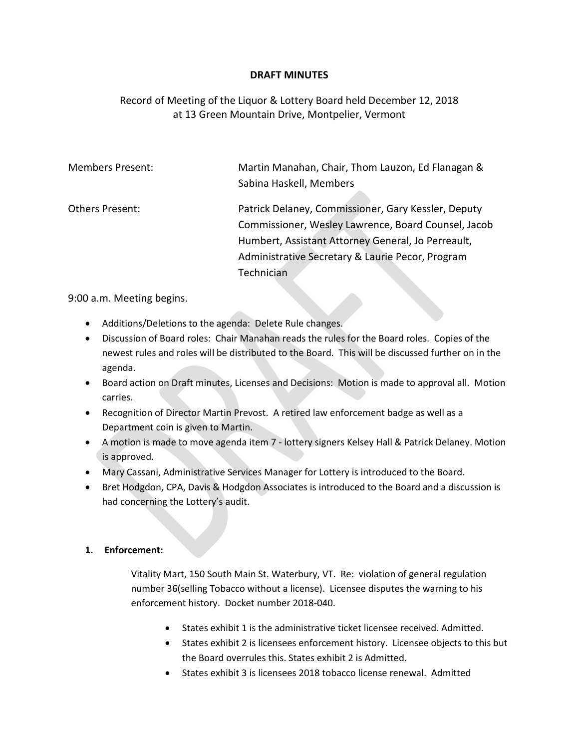## **DRAFT MINUTES**

## Record of Meeting of the Liquor & Lottery Board held December 12, 2018 at 13 Green Mountain Drive, Montpelier, Vermont

| <b>Members Present:</b> | Martin Manahan, Chair, Thom Lauzon, Ed Flanagan &   |
|-------------------------|-----------------------------------------------------|
|                         | Sabina Haskell, Members                             |
|                         |                                                     |
| Others Present:         | Patrick Delaney, Commissioner, Gary Kessler, Deputy |
|                         | Commissioner, Wesley Lawrence, Board Counsel, Jacob |
|                         | Humbert, Assistant Attorney General, Jo Perreault,  |
|                         | Administrative Secretary & Laurie Pecor, Program    |
|                         | Technician                                          |

9:00 a.m. Meeting begins.

- Additions/Deletions to the agenda: Delete Rule changes.
- Discussion of Board roles: Chair Manahan reads the rules for the Board roles. Copies of the newest rules and roles will be distributed to the Board. This will be discussed further on in the agenda.
- Board action on Draft minutes, Licenses and Decisions: Motion is made to approval all. Motion carries.
- Recognition of Director Martin Prevost. A retired law enforcement badge as well as a Department coin is given to Martin.
- A motion is made to move agenda item 7 lottery signers Kelsey Hall & Patrick Delaney. Motion is approved.
- Mary Cassani, Administrative Services Manager for Lottery is introduced to the Board.
- Bret Hodgdon, CPA, Davis & Hodgdon Associates is introduced to the Board and a discussion is had concerning the Lottery's audit.

## **1. Enforcement:**

Vitality Mart, 150 South Main St. Waterbury, VT. Re: violation of general regulation number 36(selling Tobacco without a license). Licensee disputes the warning to his enforcement history. Docket number 2018-040.

- States exhibit 1 is the administrative ticket licensee received. Admitted.
- States exhibit 2 is licensees enforcement history. Licensee objects to this but the Board overrules this. States exhibit 2 is Admitted.
- States exhibit 3 is licensees 2018 tobacco license renewal. Admitted